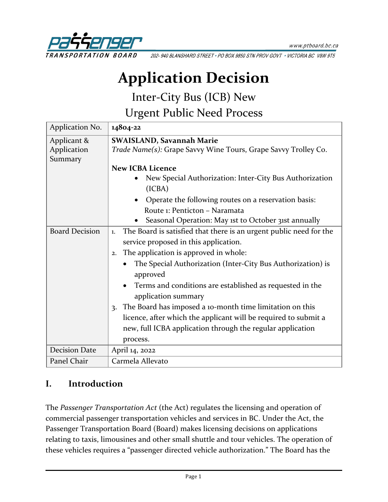

202-940 BLANSHARD STREET . PO BOX 9850 STN PROV GOVT . VICTORIA BC V8W 9T5

# **Application Decision**

Inter-City Bus (ICB) New

Urgent Public Need Process

| Application No.       | 14804-22                                                                 |
|-----------------------|--------------------------------------------------------------------------|
| Applicant &           | <b>SWAISLAND, Savannah Marie</b>                                         |
| Application           | Trade Name(s): Grape Savvy Wine Tours, Grape Savvy Trolley Co.           |
| Summary               |                                                                          |
|                       | <b>New ICBA Licence</b>                                                  |
|                       | New Special Authorization: Inter-City Bus Authorization                  |
|                       | (ICBA)                                                                   |
|                       | Operate the following routes on a reservation basis:                     |
|                       | Route 1: Penticton - Naramata                                            |
|                       | Seasonal Operation: May ist to October 31st annually                     |
| <b>Board Decision</b> | The Board is satisfied that there is an urgent public need for the<br>1. |
|                       | service proposed in this application.                                    |
|                       | The application is approved in whole:<br>2.                              |
|                       | The Special Authorization (Inter-City Bus Authorization) is              |
|                       | approved                                                                 |
|                       | Terms and conditions are established as requested in the                 |
|                       | application summary                                                      |
|                       | The Board has imposed a 10-month time limitation on this<br>3.           |
|                       | licence, after which the applicant will be required to submit a          |
|                       | new, full ICBA application through the regular application               |
|                       | process.                                                                 |
| <b>Decision Date</b>  | April 14, 2022                                                           |
| Panel Chair           | Carmela Allevato                                                         |

## **I. Introduction**

The *Passenger Transportation Act* (the Act) regulates the licensing and operation of commercial passenger transportation vehicles and services in BC. Under the Act, the Passenger Transportation Board (Board) makes licensing decisions on applications relating to taxis, limousines and other small shuttle and tour vehicles. The operation of these vehicles requires a "passenger directed vehicle authorization." The Board has the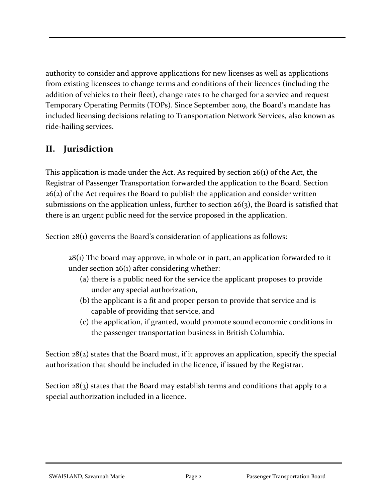authority to consider and approve applications for new licenses as well as applications from existing licensees to change terms and conditions of their licences (including the addition of vehicles to their fleet), change rates to be charged for a service and request Temporary Operating Permits (TOPs). Since September 2019, the Board's mandate has included licensing decisions relating to Transportation Network Services, also known as ride-hailing services.

## **II. Jurisdiction**

This application is made under the Act. As required by section 26(1) of the Act, the Registrar of Passenger Transportation forwarded the application to the Board. Section 26(2) of the Act requires the Board to publish the application and consider written submissions on the application unless, further to section  $26(3)$ , the Board is satisfied that there is an urgent public need for the service proposed in the application.

Section 28(1) governs the Board's consideration of applications as follows:

 $28(i)$  The board may approve, in whole or in part, an application forwarded to it under section 26(1) after considering whether:

- (a) there is a public need for the service the applicant proposes to provide under any special authorization,
- (b) the applicant is a fit and proper person to provide that service and is capable of providing that service, and
- (c) the application, if granted, would promote sound economic conditions in the passenger transportation business in British Columbia.

Section 28(2) states that the Board must, if it approves an application, specify the special authorization that should be included in the licence, if issued by the Registrar.

Section  $28(3)$  states that the Board may establish terms and conditions that apply to a special authorization included in a licence.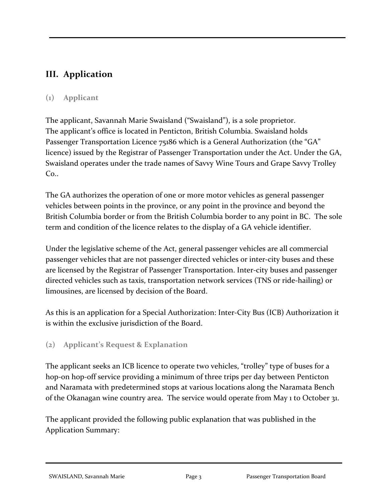# **III. Application**

### **(1) Applicant**

The applicant, Savannah Marie Swaisland ("Swaisland"), is a sole proprietor. The applicant's office is located in Penticton, British Columbia. Swaisland holds Passenger Transportation Licence 75186 which is a General Authorization (the "GA" licence) issued by the Registrar of Passenger Transportation under the Act. Under the GA, Swaisland operates under the trade names of Savvy Wine Tours and Grape Savvy Trolley  $Co.$ 

The GA authorizes the operation of one or more motor vehicles as general passenger vehicles between points in the province, or any point in the province and beyond the British Columbia border or from the British Columbia border to any point in BC. The sole term and condition of the licence relates to the display of a GA vehicle identifier.

Under the legislative scheme of the Act, general passenger vehicles are all commercial passenger vehicles that are not passenger directed vehicles or inter-city buses and these are licensed by the Registrar of Passenger Transportation. Inter-city buses and passenger directed vehicles such as taxis, transportation network services (TNS or ride-hailing) or limousines, are licensed by decision of the Board.

As this is an application for a Special Authorization: Inter-City Bus (ICB) Authorization it is within the exclusive jurisdiction of the Board.

#### **(2) Applicant's Request & Explanation**

The applicant seeks an ICB licence to operate two vehicles, "trolley" type of buses for a hop-on hop-off service providing a minimum of three trips per day between Penticton and Naramata with predetermined stops at various locations along the Naramata Bench of the Okanagan wine country area. The service would operate from May 1 to October 31.

The applicant provided the following public explanation that was published in the Application Summary: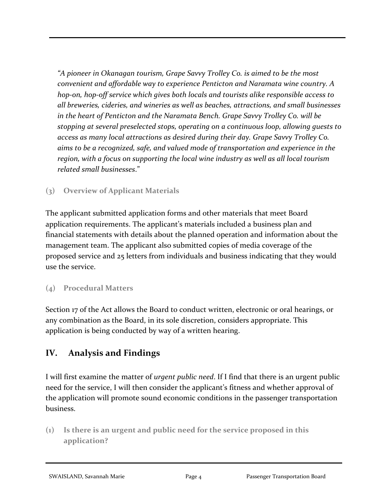*"A pioneer in Okanagan tourism, Grape Savvy Trolley Co. is aimed to be the most convenient and affordable way to experience Penticton and Naramata wine country. A hop-on, hop-off service which gives both locals and tourists alike responsible access to all breweries, cideries, and wineries as well as beaches, attractions, and small businesses in the heart of Penticton and the Naramata Bench. Grape Savvy Trolley Co. will be stopping at several preselected stops, operating on a continuous loop, allowing guests to access as many local attractions as desired during their day. Grape Savvy Trolley Co. aims to be a recognized, safe, and valued mode of transportation and experience in the region, with a focus on supporting the local wine industry as well as all local tourism related small businesses*."

## **(3) Overview of Applicant Materials**

The applicant submitted application forms and other materials that meet Board application requirements. The applicant's materials included a business plan and financial statements with details about the planned operation and information about the management team. The applicant also submitted copies of media coverage of the proposed service and 25 letters from individuals and business indicating that they would use the service.

## **(4) Procedural Matters**

Section 17 of the Act allows the Board to conduct written, electronic or oral hearings, or any combination as the Board, in its sole discretion, considers appropriate. This application is being conducted by way of a written hearing.

# **IV. Analysis and Findings**

I will first examine the matter of *urgent public need*. If I find that there is an urgent public need for the service, I will then consider the applicant's fitness and whether approval of the application will promote sound economic conditions in the passenger transportation business.

**(1) Is there is an urgent and public need for the service proposed in this application?**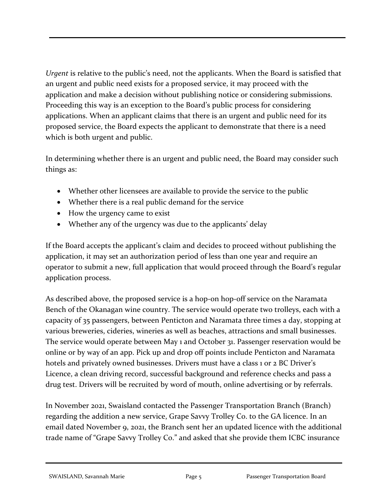*Urgent* is relative to the public's need, not the applicants. When the Board is satisfied that an urgent and public need exists for a proposed service, it may proceed with the application and make a decision without publishing notice or considering submissions. Proceeding this way is an exception to the Board's public process for considering applications. When an applicant claims that there is an urgent and public need for its proposed service, the Board expects the applicant to demonstrate that there is a need which is both urgent and public.

In determining whether there is an urgent and public need, the Board may consider such things as:

- Whether other licensees are available to provide the service to the public
- Whether there is a real public demand for the service
- How the urgency came to exist
- Whether any of the urgency was due to the applicants' delay

If the Board accepts the applicant's claim and decides to proceed without publishing the application, it may set an authorization period of less than one year and require an operator to submit a new, full application that would proceed through the Board's regular application process.

As described above, the proposed service is a hop-on hop-off service on the Naramata Bench of the Okanagan wine country. The service would operate two trolleys, each with a capacity of 35 passengers, between Penticton and Naramata three times a day, stopping at various breweries, cideries, wineries as well as beaches, attractions and small businesses. The service would operate between May 1 and October 31. Passenger reservation would be online or by way of an app. Pick up and drop off points include Penticton and Naramata hotels and privately owned businesses. Drivers must have a class 1 or 2 BC Driver's Licence, a clean driving record, successful background and reference checks and pass a drug test. Drivers will be recruited by word of mouth, online advertising or by referrals.

In November 2021, Swaisland contacted the Passenger Transportation Branch (Branch) regarding the addition a new service, Grape Savvy Trolley Co. to the GA licence. In an email dated November 9, 2021, the Branch sent her an updated licence with the additional trade name of "Grape Savvy Trolley Co." and asked that she provide them ICBC insurance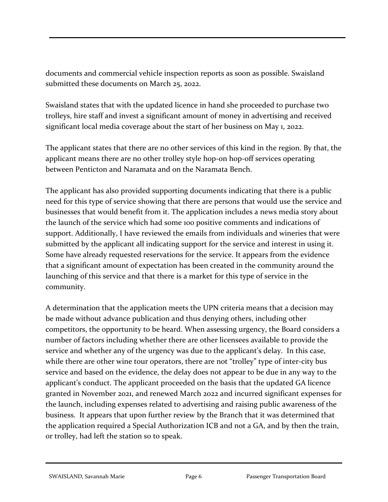documents and commercial vehicle inspection reports as soon as possible. Swaisland submitted these documents on March 25, 2022.

Swaisland states that with the updated licence in hand she proceeded to purchase two trolleys, hire staff and invest a significant amount of money in advertising and received significant local media coverage about the start of her business on May 1, 2022.

The applicant states that there are no other services of this kind in the region. By that, the applicant means there are no other trolley style hop-on hop-off services operating between Penticton and Naramata and on the Naramata Bench.

The applicant has also provided supporting documents indicating that there is a public need for this type of service showing that there are persons that would use the service and businesses that would benefit from it. The application includes a news media story about the launch of the service which had some 100 positive comments and indications of support. Additionally, I have reviewed the emails from individuals and wineries that were submitted by the applicant all indicating support for the service and interest in using it. Some have already requested reservations for the service. It appears from the evidence that a significant amount of expectation has been created in the community around the launching of this service and that there is a market for this type of service in the community.

A determination that the application meets the UPN criteria means that a decision may be made without advance publication and thus denying others, including other competitors, the opportunity to be heard. When assessing urgency, the Board considers a number of factors including whether there are other licensees available to provide the service and whether any of the urgency was due to the applicant's delay. In this case, while there are other wine tour operators, there are not "trolley" type of inter-city bus service and based on the evidence, the delay does not appear to be due in any way to the applicant's conduct. The applicant proceeded on the basis that the updated GA licence granted in November 2021, and renewed March 2022 and incurred significant expenses for the launch, including expenses related to advertising and raising public awareness of the business. It appears that upon further review by the Branch that it was determined that the application required a Special Authorization ICB and not a GA, and by then the train, or trolley, had left the station so to speak.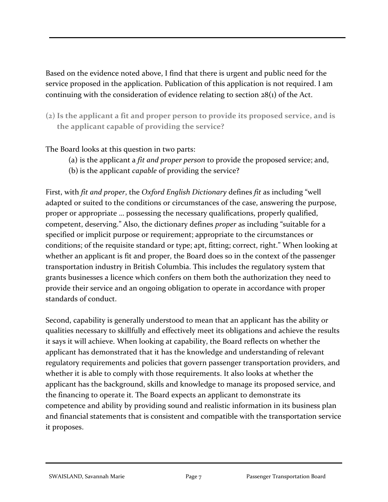Based on the evidence noted above, I find that there is urgent and public need for the service proposed in the application. Publication of this application is not required. I am continuing with the consideration of evidence relating to section 28(1) of the Act.

**(2) Is the applicant a fit and proper person to provide its proposed service, and is the applicant capable of providing the service?**

The Board looks at this question in two parts:

- (a) is the applicant a *fit and proper person* to provide the proposed service; and,
- (b) is the applicant *capable* of providing the service?

First, with *fit and proper*, the *Oxford English Dictionary* defines *fit* as including "well adapted or suited to the conditions or circumstances of the case, answering the purpose, proper or appropriate … possessing the necessary qualifications, properly qualified, competent, deserving." Also, the dictionary defines *proper* as including "suitable for a specified or implicit purpose or requirement; appropriate to the circumstances or conditions; of the requisite standard or type; apt, fitting; correct, right." When looking at whether an applicant is fit and proper, the Board does so in the context of the passenger transportation industry in British Columbia. This includes the regulatory system that grants businesses a licence which confers on them both the authorization they need to provide their service and an ongoing obligation to operate in accordance with proper standards of conduct.

Second, capability is generally understood to mean that an applicant has the ability or qualities necessary to skillfully and effectively meet its obligations and achieve the results it says it will achieve. When looking at capability, the Board reflects on whether the applicant has demonstrated that it has the knowledge and understanding of relevant regulatory requirements and policies that govern passenger transportation providers, and whether it is able to comply with those requirements. It also looks at whether the applicant has the background, skills and knowledge to manage its proposed service, and the financing to operate it. The Board expects an applicant to demonstrate its competence and ability by providing sound and realistic information in its business plan and financial statements that is consistent and compatible with the transportation service it proposes.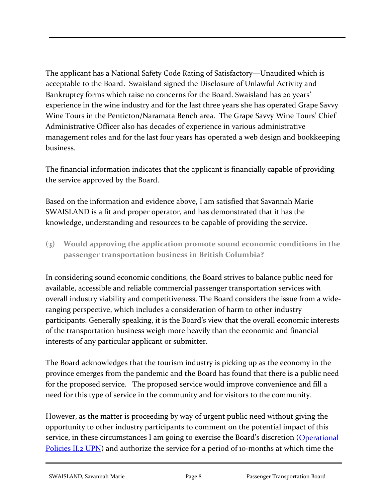The applicant has a National Safety Code Rating of Satisfactory—Unaudited which is acceptable to the Board. Swaisland signed the Disclosure of Unlawful Activity and Bankruptcy forms which raise no concerns for the Board. Swaisland has 20 years' experience in the wine industry and for the last three years she has operated Grape Savvy Wine Tours in the Penticton/Naramata Bench area. The Grape Savvy Wine Tours' Chief Administrative Officer also has decades of experience in various administrative management roles and for the last four years has operated a web design and bookkeeping business.

The financial information indicates that the applicant is financially capable of providing the service approved by the Board.

Based on the information and evidence above, I am satisfied that Savannah Marie SWAISLAND is a fit and proper operator, and has demonstrated that it has the knowledge, understanding and resources to be capable of providing the service.

**(3) Would approving the application promote sound economic conditions in the passenger transportation business in British Columbia?**

In considering sound economic conditions, the Board strives to balance public need for available, accessible and reliable commercial passenger transportation services with overall industry viability and competitiveness. The Board considers the issue from a wideranging perspective, which includes a consideration of harm to other industry participants. Generally speaking, it is the Board's view that the overall economic interests of the transportation business weigh more heavily than the economic and financial interests of any particular applicant or submitter.

The Board acknowledges that the tourism industry is picking up as the economy in the province emerges from the pandemic and the Board has found that there is a public need for the proposed service. The proposed service would improve convenience and fill a need for this type of service in the community and for visitors to the community.

However, as the matter is proceeding by way of urgent public need without giving the opportunity to other industry participants to comment on the potential impact of this service, in these circumstances I am going to exercise the Board's discretion (Operational [Policies II.2 UPN\)](https://www.ptboard.bc.ca/documents/operational-policies.pdf) and authorize the service for a period of 10-months at which time the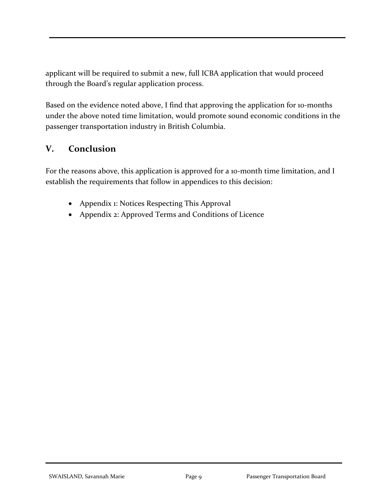applicant will be required to submit a new, full ICBA application that would proceed through the Board's regular application process.

Based on the evidence noted above, I find that approving the application for 10-months under the above noted time limitation, would promote sound economic conditions in the passenger transportation industry in British Columbia.

## **V. Conclusion**

For the reasons above, this application is approved for a 10-month time limitation, and I establish the requirements that follow in appendices to this decision:

- Appendix 1: Notices Respecting This Approval
- Appendix 2: Approved Terms and Conditions of Licence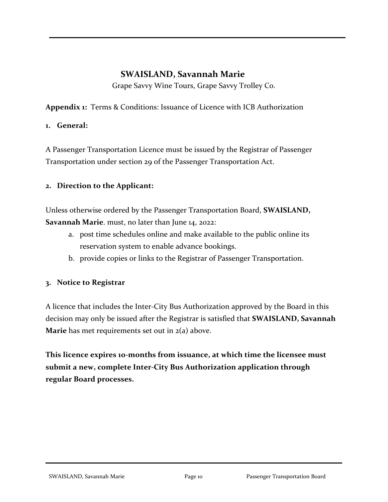## **SWAISLAND, Savannah Marie**

Grape Savvy Wine Tours, Grape Savvy Trolley Co.

**Appendix 1:** Terms & Conditions: Issuance of Licence with ICB Authorization

#### **1. General:**

A Passenger Transportation Licence must be issued by the Registrar of Passenger Transportation under section 29 of the Passenger Transportation Act.

#### **2. Direction to the Applicant:**

Unless otherwise ordered by the Passenger Transportation Board, **SWAISLAND, Savannah Marie**. must, no later than June 14, 2022:

- a. post time schedules online and make available to the public online its reservation system to enable advance bookings.
- b. provide copies or links to the Registrar of Passenger Transportation.

#### **3. Notice to Registrar**

A licence that includes the Inter-City Bus Authorization approved by the Board in this decision may only be issued after the Registrar is satisfied that **SWAISLAND, Savannah Marie** has met requirements set out in 2(a) above.

**This licence expires 10-months from issuance, at which time the licensee must submit a new, complete Inter-City Bus Authorization application through regular Board processes.**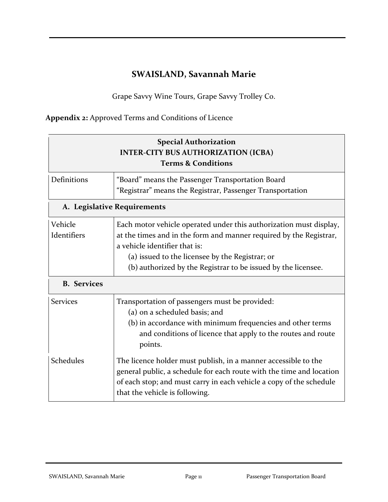# **SWAISLAND, Savannah Marie**

Grape Savvy Wine Tours, Grape Savvy Trolley Co.

**Appendix 2:** Approved Terms and Conditions of Licence

| <b>Special Authorization</b><br><b>INTER-CITY BUS AUTHORIZATION (ICBA)</b><br><b>Terms &amp; Conditions</b> |                                                                                                                                                                                                                                                                                               |  |
|-------------------------------------------------------------------------------------------------------------|-----------------------------------------------------------------------------------------------------------------------------------------------------------------------------------------------------------------------------------------------------------------------------------------------|--|
| Definitions                                                                                                 | "Board" means the Passenger Transportation Board<br>"Registrar" means the Registrar, Passenger Transportation                                                                                                                                                                                 |  |
| A. Legislative Requirements                                                                                 |                                                                                                                                                                                                                                                                                               |  |
| Vehicle<br>Identifiers                                                                                      | Each motor vehicle operated under this authorization must display,<br>at the times and in the form and manner required by the Registrar,<br>a vehicle identifier that is:<br>(a) issued to the licensee by the Registrar; or<br>(b) authorized by the Registrar to be issued by the licensee. |  |
| <b>B.</b> Services                                                                                          |                                                                                                                                                                                                                                                                                               |  |
| <b>Services</b>                                                                                             | Transportation of passengers must be provided:<br>(a) on a scheduled basis; and<br>(b) in accordance with minimum frequencies and other terms<br>and conditions of licence that apply to the routes and route<br>points.                                                                      |  |
| Schedules                                                                                                   | The licence holder must publish, in a manner accessible to the<br>general public, a schedule for each route with the time and location<br>of each stop; and must carry in each vehicle a copy of the schedule<br>that the vehicle is following.                                               |  |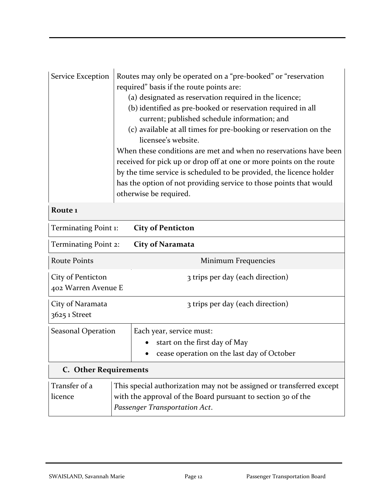| Service Exception                                                            | Routes may only be operated on a "pre-booked" or "reservation<br>required" basis if the route points are:<br>(a) designated as reservation required in the licence;<br>(b) identified as pre-booked or reservation required in all<br>current; published schedule information; and<br>(c) available at all times for pre-booking or reservation on the<br>licensee's website.<br>When these conditions are met and when no reservations have been<br>received for pick up or drop off at one or more points on the route<br>by the time service is scheduled to be provided, the licence holder<br>has the option of not providing service to those points that would<br>otherwise be required. |  |
|------------------------------------------------------------------------------|-------------------------------------------------------------------------------------------------------------------------------------------------------------------------------------------------------------------------------------------------------------------------------------------------------------------------------------------------------------------------------------------------------------------------------------------------------------------------------------------------------------------------------------------------------------------------------------------------------------------------------------------------------------------------------------------------|--|
| Route <sub>1</sub>                                                           |                                                                                                                                                                                                                                                                                                                                                                                                                                                                                                                                                                                                                                                                                                 |  |
| Terminating Point 1:<br><b>City of Penticton</b>                             |                                                                                                                                                                                                                                                                                                                                                                                                                                                                                                                                                                                                                                                                                                 |  |
| Terminating Point 2:<br><b>City of Naramata</b>                              |                                                                                                                                                                                                                                                                                                                                                                                                                                                                                                                                                                                                                                                                                                 |  |
| <b>Route Points</b>                                                          | Minimum Frequencies                                                                                                                                                                                                                                                                                                                                                                                                                                                                                                                                                                                                                                                                             |  |
| City of Penticton<br>3 trips per day (each direction)<br>402 Warren Avenue E |                                                                                                                                                                                                                                                                                                                                                                                                                                                                                                                                                                                                                                                                                                 |  |
| City of Naramata<br>3625 1 Street                                            | 3 trips per day (each direction)                                                                                                                                                                                                                                                                                                                                                                                                                                                                                                                                                                                                                                                                |  |
| Seasonal Operation                                                           | Each year, service must:<br>start on the first day of May<br>cease operation on the last day of October                                                                                                                                                                                                                                                                                                                                                                                                                                                                                                                                                                                         |  |
| <b>C.</b> Other Requirements                                                 |                                                                                                                                                                                                                                                                                                                                                                                                                                                                                                                                                                                                                                                                                                 |  |
| Transfer of a<br>licence                                                     | This special authorization may not be assigned or transferred except<br>with the approval of the Board pursuant to section 30 of the<br>Passenger Transportation Act.                                                                                                                                                                                                                                                                                                                                                                                                                                                                                                                           |  |